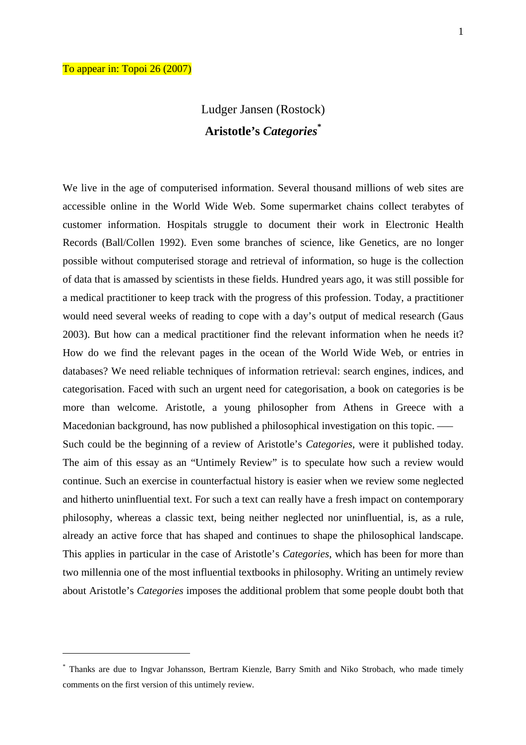$\overline{a}$ 

## Ludger Jansen (Rostock) **Aristotle's** *Categories***\***

We live in the age of computerised information. Several thousand millions of web sites are accessible online in the World Wide Web. Some supermarket chains collect terabytes of customer information. Hospitals struggle to document their work in Electronic Health Records (Ball/Collen 1992). Even some branches of science, like Genetics, are no longer possible without computerised storage and retrieval of information, so huge is the collection of data that is amassed by scientists in these fields. Hundred years ago, it was still possible for a medical practitioner to keep track with the progress of this profession. Today, a practitioner would need several weeks of reading to cope with a day's output of medical research (Gaus 2003). But how can a medical practitioner find the relevant information when he needs it? How do we find the relevant pages in the ocean of the World Wide Web, or entries in databases? We need reliable techniques of information retrieval: search engines, indices, and categorisation. Faced with such an urgent need for categorisation, a book on categories is be more than welcome. Aristotle, a young philosopher from Athens in Greece with a Macedonian background, has now published a philosophical investigation on this topic. — Such could be the beginning of a review of Aristotle's *Categories*, were it published today. The aim of this essay as an "Untimely Review" is to speculate how such a review would continue. Such an exercise in counterfactual history is easier when we review some neglected and hitherto uninfluential text. For such a text can really have a fresh impact on contemporary philosophy, whereas a classic text, being neither neglected nor uninfluential, is, as a rule, already an active force that has shaped and continues to shape the philosophical landscape. This applies in particular in the case of Aristotle's *Categories*, which has been for more than two millennia one of the most influential textbooks in philosophy. Writing an untimely review about Aristotle's *Categories* imposes the additional problem that some people doubt both that

<sup>\*</sup> Thanks are due to Ingvar Johansson, Bertram Kienzle, Barry Smith and Niko Strobach, who made timely comments on the first version of this untimely review.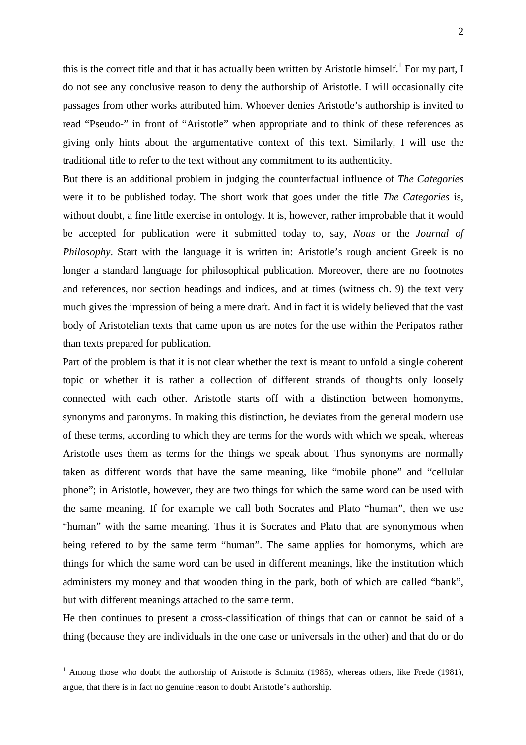this is the correct title and that it has actually been written by Aristotle himself.<sup>1</sup> For my part, I do not see any conclusive reason to deny the authorship of Aristotle. I will occasionally cite passages from other works attributed him. Whoever denies Aristotle's authorship is invited to read "Pseudo-" in front of "Aristotle" when appropriate and to think of these references as giving only hints about the argumentative context of this text. Similarly, I will use the traditional title to refer to the text without any commitment to its authenticity.

But there is an additional problem in judging the counterfactual influence of *The Categories*  were it to be published today. The short work that goes under the title *The Categories* is, without doubt, a fine little exercise in ontology. It is, however, rather improbable that it would be accepted for publication were it submitted today to, say, *Nous* or the *Journal of Philosophy*. Start with the language it is written in: Aristotle's rough ancient Greek is no longer a standard language for philosophical publication. Moreover, there are no footnotes and references, nor section headings and indices, and at times (witness ch. 9) the text very much gives the impression of being a mere draft. And in fact it is widely believed that the vast body of Aristotelian texts that came upon us are notes for the use within the Peripatos rather than texts prepared for publication.

Part of the problem is that it is not clear whether the text is meant to unfold a single coherent topic or whether it is rather a collection of different strands of thoughts only loosely connected with each other. Aristotle starts off with a distinction between homonyms, synonyms and paronyms. In making this distinction, he deviates from the general modern use of these terms, according to which they are terms for the words with which we speak, whereas Aristotle uses them as terms for the things we speak about. Thus synonyms are normally taken as different words that have the same meaning, like "mobile phone" and "cellular phone"; in Aristotle, however, they are two things for which the same word can be used with the same meaning. If for example we call both Socrates and Plato "human", then we use "human" with the same meaning. Thus it is Socrates and Plato that are synonymous when being refered to by the same term "human". The same applies for homonyms, which are things for which the same word can be used in different meanings, like the institution which administers my money and that wooden thing in the park, both of which are called "bank", but with different meanings attached to the same term.

He then continues to present a cross-classification of things that can or cannot be said of a thing (because they are individuals in the one case or universals in the other) and that do or do

<sup>&</sup>lt;sup>1</sup> Among those who doubt the authorship of Aristotle is Schmitz (1985), whereas others, like Frede (1981), argue, that there is in fact no genuine reason to doubt Aristotle's authorship.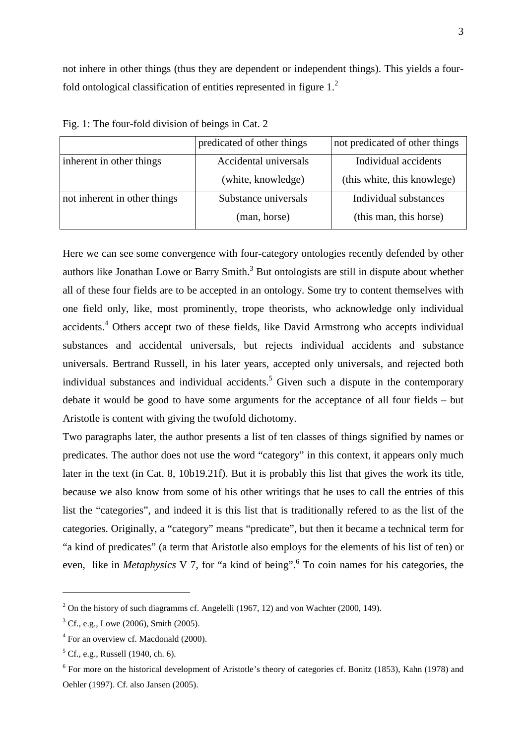not inhere in other things (thus they are dependent or independent things). This yields a fourfold ontological classification of entities represented in figure  $1<sup>2</sup>$ 

|                              | predicated of other things | not predicated of other things |
|------------------------------|----------------------------|--------------------------------|
| inherent in other things     | Accidental universals      | Individual accidents           |
|                              | (white, knowledge)         | (this white, this knowlege)    |
| not inherent in other things | Substance universals       | Individual substances          |
|                              | (man, horse)               | (this man, this horse)         |

Fig. 1: The four-fold division of beings in Cat. 2

Here we can see some convergence with four-category ontologies recently defended by other authors like Jonathan Lowe or Barry Smith.<sup>3</sup> But ontologists are still in dispute about whether all of these four fields are to be accepted in an ontology. Some try to content themselves with one field only, like, most prominently, trope theorists, who acknowledge only individual accidents.<sup>4</sup> Others accept two of these fields, like David Armstrong who accepts individual substances and accidental universals, but rejects individual accidents and substance universals. Bertrand Russell, in his later years, accepted only universals, and rejected both individual substances and individual accidents.<sup>5</sup> Given such a dispute in the contemporary debate it would be good to have some arguments for the acceptance of all four fields – but Aristotle is content with giving the twofold dichotomy.

Two paragraphs later, the author presents a list of ten classes of things signified by names or predicates. The author does not use the word "category" in this context, it appears only much later in the text (in Cat. 8, 10b19.21f). But it is probably this list that gives the work its title, because we also know from some of his other writings that he uses to call the entries of this list the "categories", and indeed it is this list that is traditionally refered to as the list of the categories. Originally, a "category" means "predicate", but then it became a technical term for "a kind of predicates" (a term that Aristotle also employs for the elements of his list of ten) or even, like in *Metaphysics* V 7, for "a kind of being".<sup>6</sup> To coin names for his categories, the

 $2$  On the history of such diagramms cf. Angelelli (1967, 12) and von Wachter (2000, 149).

 $3^3$  Cf., e.g., Lowe (2006), Smith (2005).

<sup>&</sup>lt;sup>4</sup> For an overview cf. Macdonald (2000).

 $<sup>5</sup>$  Cf., e.g., Russell (1940, ch. 6).</sup>

<sup>&</sup>lt;sup>6</sup> For more on the historical development of Aristotle's theory of categories cf. Bonitz (1853), Kahn (1978) and Oehler (1997). Cf. also Jansen (2005).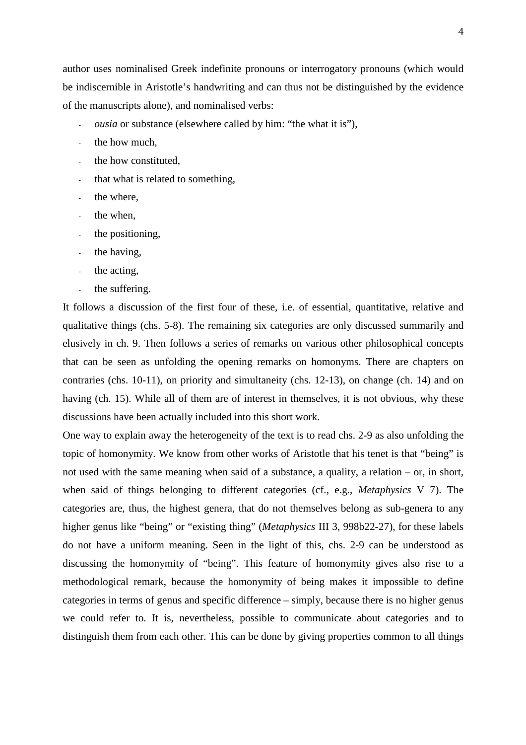author uses nominalised Greek indefinite pronouns or interrogatory pronouns (which would be indiscernible in Aristotle's handwriting and can thus not be distinguished by the evidence of the manuscripts alone), and nominalised verbs:

- *ousia* or substance (elsewhere called by him: "the what it is"),
- the how much,
- the how constituted.
- that what is related to something,
- the where.
- the when,
- the positioning,
- the having,
- the acting,
- the suffering.

It follows a discussion of the first four of these, i.e. of essential, quantitative, relative and qualitative things (chs. 5-8). The remaining six categories are only discussed summarily and elusively in ch. 9. Then follows a series of remarks on various other philosophical concepts that can be seen as unfolding the opening remarks on homonyms. There are chapters on contraries (chs. 10-11), on priority and simultaneity (chs. 12-13), on change (ch. 14) and on having (ch. 15). While all of them are of interest in themselves, it is not obvious, why these discussions have been actually included into this short work.

One way to explain away the heterogeneity of the text is to read chs. 2-9 as also unfolding the topic of homonymity. We know from other works of Aristotle that his tenet is that "being" is not used with the same meaning when said of a substance, a quality, a relation – or, in short, when said of things belonging to different categories (cf., e.g., *Metaphysics* V 7). The categories are, thus, the highest genera, that do not themselves belong as sub-genera to any higher genus like "being" or "existing thing" (*Metaphysics* III 3, 998b22-27), for these labels do not have a uniform meaning. Seen in the light of this, chs. 2-9 can be understood as discussing the homonymity of "being". This feature of homonymity gives also rise to a methodological remark, because the homonymity of being makes it impossible to define categories in terms of genus and specific difference – simply, because there is no higher genus we could refer to. It is, nevertheless, possible to communicate about categories and to distinguish them from each other. This can be done by giving properties common to all things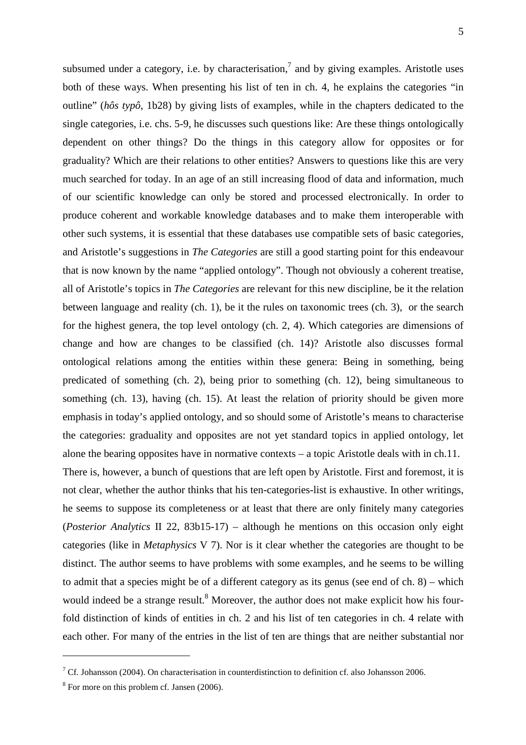subsumed under a category, i.e. by characterisation,<sup>7</sup> and by giving examples. Aristotle uses both of these ways. When presenting his list of ten in ch. 4, he explains the categories "in outline" (*hôs typô*, 1b28) by giving lists of examples, while in the chapters dedicated to the single categories, i.e. chs. 5-9, he discusses such questions like: Are these things ontologically dependent on other things? Do the things in this category allow for opposites or for graduality? Which are their relations to other entities? Answers to questions like this are very much searched for today. In an age of an still increasing flood of data and information, much of our scientific knowledge can only be stored and processed electronically. In order to produce coherent and workable knowledge databases and to make them interoperable with other such systems, it is essential that these databases use compatible sets of basic categories, and Aristotle's suggestions in *The Categories* are still a good starting point for this endeavour that is now known by the name "applied ontology". Though not obviously a coherent treatise, all of Aristotle's topics in *The Categories* are relevant for this new discipline, be it the relation between language and reality (ch. 1), be it the rules on taxonomic trees (ch. 3), or the search for the highest genera, the top level ontology (ch. 2, 4). Which categories are dimensions of change and how are changes to be classified (ch. 14)? Aristotle also discusses formal ontological relations among the entities within these genera: Being in something, being predicated of something (ch. 2), being prior to something (ch. 12), being simultaneous to something (ch. 13), having (ch. 15). At least the relation of priority should be given more emphasis in today's applied ontology, and so should some of Aristotle's means to characterise the categories: graduality and opposites are not yet standard topics in applied ontology, let alone the bearing opposites have in normative contexts – a topic Aristotle deals with in ch.11. There is, however, a bunch of questions that are left open by Aristotle. First and foremost, it is not clear, whether the author thinks that his ten-categories-list is exhaustive. In other writings, he seems to suppose its completeness or at least that there are only finitely many categories (*Posterior Analytics* II 22, 83b15-17) – although he mentions on this occasion only eight categories (like in *Metaphysics* V 7). Nor is it clear whether the categories are thought to be distinct. The author seems to have problems with some examples, and he seems to be willing to admit that a species might be of a different category as its genus (see end of ch. 8) – which would indeed be a strange result.<sup>8</sup> Moreover, the author does not make explicit how his fourfold distinction of kinds of entities in ch. 2 and his list of ten categories in ch. 4 relate with each other. For many of the entries in the list of ten are things that are neither substantial nor

<sup>&</sup>lt;sup>7</sup> Cf. Johansson (2004). On characterisation in counterdistinction to definition cf. also Johansson 2006.

<sup>&</sup>lt;sup>8</sup> For more on this problem cf. Jansen (2006).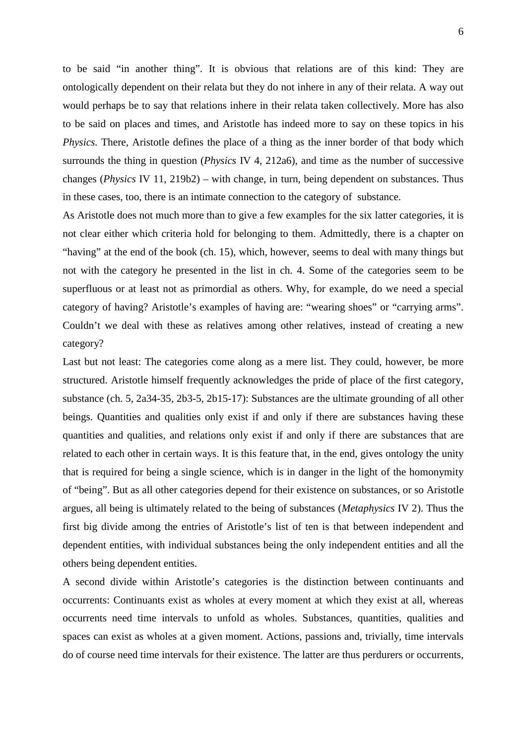to be said "in another thing". It is obvious that relations are of this kind: They are ontologically dependent on their relata but they do not inhere in any of their relata. A way out would perhaps be to say that relations inhere in their relata taken collectively. More has also to be said on places and times, and Aristotle has indeed more to say on these topics in his *Physics*. There, Aristotle defines the place of a thing as the inner border of that body which surrounds the thing in question (*Physics* IV 4, 212a6), and time as the number of successive changes (*Physics* IV 11, 219b2) – with change, in turn, being dependent on substances. Thus in these cases, too, there is an intimate connection to the category of substance.

As Aristotle does not much more than to give a few examples for the six latter categories, it is not clear either which criteria hold for belonging to them. Admittedly, there is a chapter on "having" at the end of the book (ch. 15), which, however, seems to deal with many things but not with the category he presented in the list in ch. 4. Some of the categories seem to be superfluous or at least not as primordial as others. Why, for example, do we need a special category of having? Aristotle's examples of having are: "wearing shoes" or "carrying arms". Couldn't we deal with these as relatives among other relatives, instead of creating a new category?

Last but not least: The categories come along as a mere list. They could, however, be more structured. Aristotle himself frequently acknowledges the pride of place of the first category, substance (ch. 5, 2a34-35, 2b3-5, 2b15-17): Substances are the ultimate grounding of all other beings. Quantities and qualities only exist if and only if there are substances having these quantities and qualities, and relations only exist if and only if there are substances that are related to each other in certain ways. It is this feature that, in the end, gives ontology the unity that is required for being a single science, which is in danger in the light of the homonymity of "being". But as all other categories depend for their existence on substances, or so Aristotle argues, all being is ultimately related to the being of substances (*Metaphysics* IV 2). Thus the first big divide among the entries of Aristotle's list of ten is that between independent and dependent entities, with individual substances being the only independent entities and all the others being dependent entities.

A second divide within Aristotle's categories is the distinction between continuants and occurrents: Continuants exist as wholes at every moment at which they exist at all, whereas occurrents need time intervals to unfold as wholes. Substances, quantities, qualities and spaces can exist as wholes at a given moment. Actions, passions and, trivially, time intervals do of course need time intervals for their existence. The latter are thus perdurers or occurrents,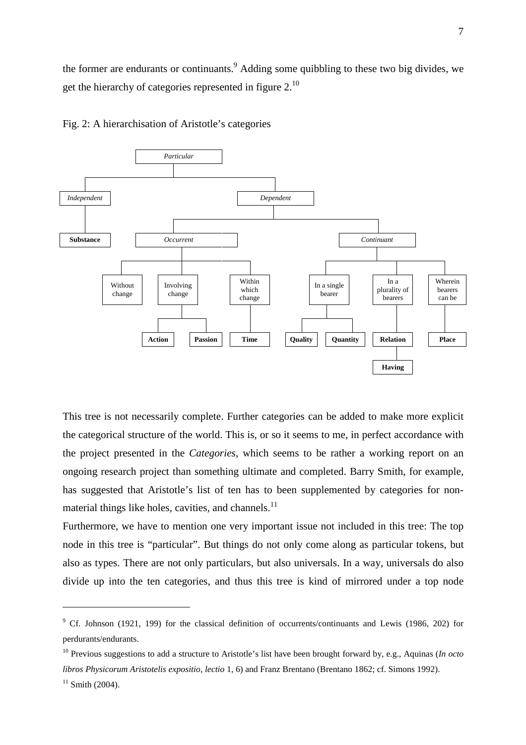the former are endurants or continuants.<sup>9</sup> Adding some quibbling to these two big divides, we get the hierarchy of categories represented in figure 2.<sup>10</sup>





This tree is not necessarily complete. Further categories can be added to make more explicit the categorical structure of the world. This is, or so it seems to me, in perfect accordance with the project presented in the *Categories*, which seems to be rather a working report on an ongoing research project than something ultimate and completed. Barry Smith, for example, has suggested that Aristotle's list of ten has to been supplemented by categories for nonmaterial things like holes, cavities, and channels.<sup>11</sup>

Furthermore, we have to mention one very important issue not included in this tree: The top node in this tree is "particular". But things do not only come along as particular tokens, but also as types. There are not only particulars, but also universals. In a way, universals do also divide up into the ten categories, and thus this tree is kind of mirrored under a top node

<sup>&</sup>lt;sup>9</sup> Cf. Johnson (1921, 199) for the classical definition of occurrents/continuants and Lewis (1986, 202) for perdurants/endurants.

<sup>10</sup> Previous suggestions to add a structure to Aristotle's list have been brought forward by, e.g., Aquinas (*In octo libros Physicorum Aristotelis expositio*, *lectio* 1, 6) and Franz Brentano (Brentano 1862; cf. Simons 1992).

 $11$  Smith (2004).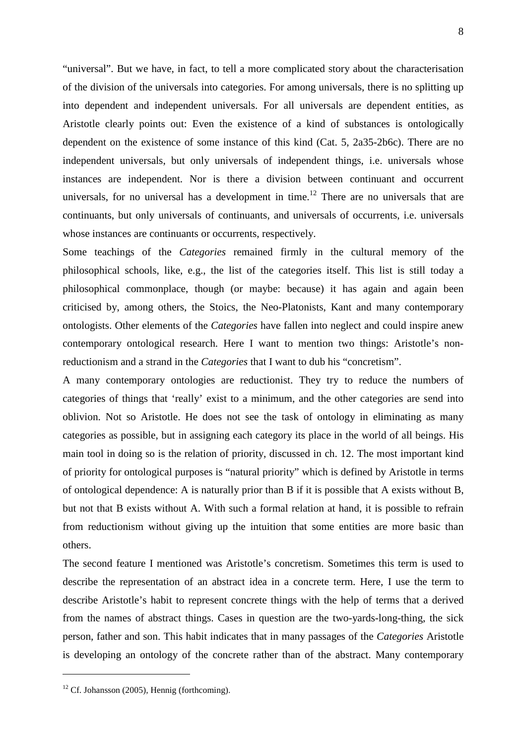"universal". But we have, in fact, to tell a more complicated story about the characterisation of the division of the universals into categories. For among universals, there is no splitting up into dependent and independent universals. For all universals are dependent entities, as Aristotle clearly points out: Even the existence of a kind of substances is ontologically dependent on the existence of some instance of this kind (Cat. 5, 2a35-2b6c). There are no independent universals, but only universals of independent things, i.e. universals whose instances are independent. Nor is there a division between continuant and occurrent universals, for no universal has a development in time.<sup>12</sup> There are no universals that are continuants, but only universals of continuants, and universals of occurrents, i.e. universals whose instances are continuants or occurrents, respectively.

Some teachings of the *Categories* remained firmly in the cultural memory of the philosophical schools, like, e.g., the list of the categories itself. This list is still today a philosophical commonplace, though (or maybe: because) it has again and again been criticised by, among others, the Stoics, the Neo-Platonists, Kant and many contemporary ontologists. Other elements of the *Categories* have fallen into neglect and could inspire anew contemporary ontological research. Here I want to mention two things: Aristotle's nonreductionism and a strand in the *Categories* that I want to dub his "concretism".

A many contemporary ontologies are reductionist. They try to reduce the numbers of categories of things that 'really' exist to a minimum, and the other categories are send into oblivion. Not so Aristotle. He does not see the task of ontology in eliminating as many categories as possible, but in assigning each category its place in the world of all beings. His main tool in doing so is the relation of priority, discussed in ch. 12. The most important kind of priority for ontological purposes is "natural priority" which is defined by Aristotle in terms of ontological dependence: A is naturally prior than B if it is possible that A exists without B, but not that B exists without A. With such a formal relation at hand, it is possible to refrain from reductionism without giving up the intuition that some entities are more basic than others.

The second feature I mentioned was Aristotle's concretism. Sometimes this term is used to describe the representation of an abstract idea in a concrete term. Here, I use the term to describe Aristotle's habit to represent concrete things with the help of terms that a derived from the names of abstract things. Cases in question are the two-yards-long-thing, the sick person, father and son. This habit indicates that in many passages of the *Categories* Aristotle is developing an ontology of the concrete rather than of the abstract. Many contemporary

 $12$  Cf. Johansson (2005), Hennig (forthcoming).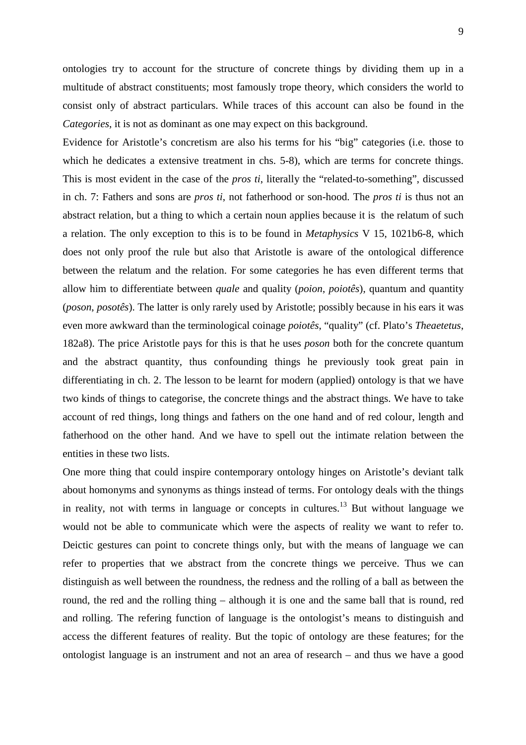ontologies try to account for the structure of concrete things by dividing them up in a multitude of abstract constituents; most famously trope theory, which considers the world to consist only of abstract particulars. While traces of this account can also be found in the *Categories*, it is not as dominant as one may expect on this background.

Evidence for Aristotle's concretism are also his terms for his "big" categories (i.e. those to which he dedicates a extensive treatment in chs. 5-8), which are terms for concrete things. This is most evident in the case of the *pros ti*, literally the "related-to-something", discussed in ch. 7: Fathers and sons are *pros ti*, not fatherhood or son-hood. The *pros ti* is thus not an abstract relation, but a thing to which a certain noun applies because it is the relatum of such a relation. The only exception to this is to be found in *Metaphysics* V 15, 1021b6-8, which does not only proof the rule but also that Aristotle is aware of the ontological difference between the relatum and the relation. For some categories he has even different terms that allow him to differentiate between *quale* and quality (*poion*, *poiotês*), quantum and quantity (*poson*, *posotês*). The latter is only rarely used by Aristotle; possibly because in his ears it was even more awkward than the terminological coinage *poiotês*, "quality" (cf. Plato's *Theaetetus*, 182a8). The price Aristotle pays for this is that he uses *poson* both for the concrete quantum and the abstract quantity, thus confounding things he previously took great pain in differentiating in ch. 2. The lesson to be learnt for modern (applied) ontology is that we have two kinds of things to categorise, the concrete things and the abstract things. We have to take account of red things, long things and fathers on the one hand and of red colour, length and fatherhood on the other hand. And we have to spell out the intimate relation between the entities in these two lists.

One more thing that could inspire contemporary ontology hinges on Aristotle's deviant talk about homonyms and synonyms as things instead of terms. For ontology deals with the things in reality, not with terms in language or concepts in cultures.<sup>13</sup> But without language we would not be able to communicate which were the aspects of reality we want to refer to. Deictic gestures can point to concrete things only, but with the means of language we can refer to properties that we abstract from the concrete things we perceive. Thus we can distinguish as well between the roundness, the redness and the rolling of a ball as between the round, the red and the rolling thing – although it is one and the same ball that is round, red and rolling. The refering function of language is the ontologist's means to distinguish and access the different features of reality. But the topic of ontology are these features; for the ontologist language is an instrument and not an area of research – and thus we have a good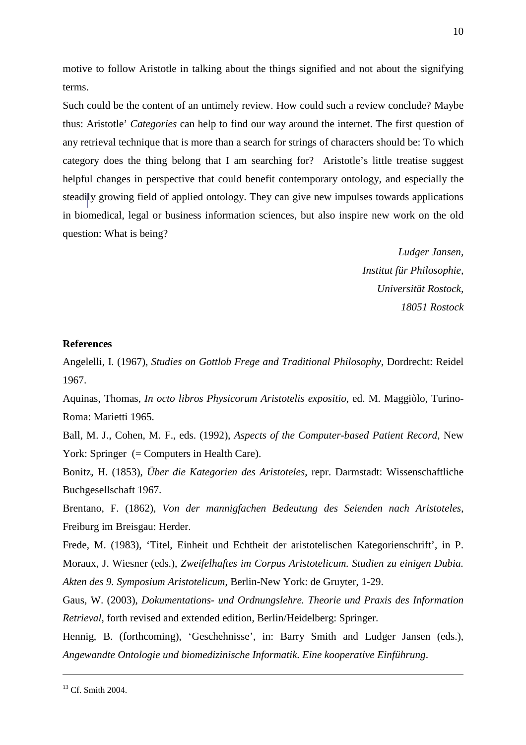motive to follow Aristotle in talking about the things signified and not about the signifying terms.

Such could be the content of an untimely review. How could such a review conclude? Maybe thus: Aristotle' *Categories* can help to find our way around the internet. The first question of any retrieval technique that is more than a search for strings of characters should be: To which category does the thing belong that I am searching for? Aristotle's little treatise suggest helpful changes in perspective that could benefit contemporary ontology, and especially the steadily growing field of applied ontology. They can give new impulses towards applications in biomedical, legal or business information sciences, but also inspire new work on the old question: What is being?

> *Ludger Jansen, Institut für Philosophie, Universität Rostock, 18051 Rostock*

## **References**

Angelelli, I. (1967), *Studies on Gottlob Frege and Traditional Philosophy*, Dordrecht: Reidel 1967.

Aquinas, Thomas, *In octo libros Physicorum Aristotelis expositio*, ed. M. Maggiòlo, Turino-Roma: Marietti 1965.

Ball, M. J., Cohen, M. F., eds. (1992), *Aspects of the Computer-based Patient Record*, New York: Springer (= Computers in Health Care).

Bonitz, H. (1853), *Über die Kategorien des Aristoteles*, repr. Darmstadt: Wissenschaftliche Buchgesellschaft 1967.

Brentano, F. (1862), *Von der mannigfachen Bedeutung des Seienden nach Aristoteles*, Freiburg im Breisgau: Herder.

Frede, M. (1983), 'Titel, Einheit und Echtheit der aristotelischen Kategorienschrift', in P. Moraux, J. Wiesner (eds.), *Zweifelhaftes im Corpus Aristotelicum. Studien zu einigen Dubia. Akten des 9. Symposium Aristotelicum*, Berlin-New York: de Gruyter, 1-29.

Gaus, W. (2003), *Dokumentations- und Ordnungslehre. Theorie und Praxis des Information Retrieval*, forth revised and extended edition, Berlin/Heidelberg: Springer.

Hennig, B. (forthcoming), 'Geschehnisse', in: Barry Smith and Ludger Jansen (eds.), *Angewandte Ontologie und biomedizinische Informatik. Eine kooperative Einführung*.

<sup>&</sup>lt;sup>13</sup> Cf. Smith 2004.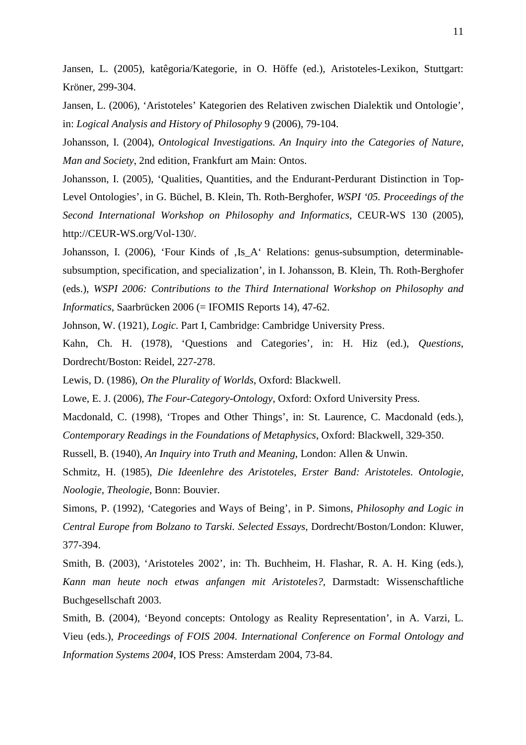Jansen, L. (2005), katêgoria/Kategorie, in O. Höffe (ed.), Aristoteles-Lexikon, Stuttgart: Kröner, 299-304.

Jansen, L. (2006), 'Aristoteles' Kategorien des Relativen zwischen Dialektik und Ontologie', in: *Logical Analysis and History of Philosophy* 9 (2006), 79-104.

Johansson, I. (2004), *Ontological Investigations. An Inquiry into the Categories of Nature, Man and Society*, 2nd edition, Frankfurt am Main: Ontos.

Johansson, I. (2005), 'Qualities, Quantities, and the Endurant-Perdurant Distinction in Top-Level Ontologies', in G. Büchel, B. Klein, Th. Roth-Berghofer, *WSPI '05. Proceedings of the Second International Workshop on Philosophy and Informatics*, CEUR-WS 130 (2005), http://CEUR-WS.org/Vol-130/.

Johansson, I. (2006), 'Four Kinds of , Is\_A' Relations: genus-subsumption, determinablesubsumption, specification, and specialization', in I. Johansson, B. Klein, Th. Roth-Berghofer (eds.), *WSPI 2006: Contributions to the Third International Workshop on Philosophy and Informatics*, Saarbrücken 2006 (= IFOMIS Reports 14), 47-62.

Johnson, W. (1921), *Logic*. Part I, Cambridge: Cambridge University Press.

Kahn, Ch. H. (1978), 'Questions and Categories', in: H. Hiz (ed.), *Questions*, Dordrecht/Boston: Reidel, 227-278.

Lewis, D. (1986), *On the Plurality of Worlds*, Oxford: Blackwell.

Lowe, E. J. (2006), *The Four-Category-Ontology*, Oxford: Oxford University Press.

Macdonald, C. (1998), 'Tropes and Other Things', in: St. Laurence, C. Macdonald (eds.), *Contemporary Readings in the Foundations of Metaphysics*, Oxford: Blackwell, 329-350.

Russell, B. (1940), *An Inquiry into Truth and Meaning*, London: Allen & Unwin.

Schmitz, H. (1985), *Die Ideenlehre des Aristoteles, Erster Band: Aristoteles. Ontologie, Noologie, Theologie*, Bonn: Bouvier.

Simons, P. (1992), 'Categories and Ways of Being', in P. Simons, *Philosophy and Logic in Central Europe from Bolzano to Tarski. Selected Essays*, Dordrecht/Boston/London: Kluwer, 377-394.

Smith, B. (2003), 'Aristoteles 2002', in: Th. Buchheim, H. Flashar, R. A. H. King (eds.), *Kann man heute noch etwas anfangen mit Aristoteles?*, Darmstadt: Wissenschaftliche Buchgesellschaft 2003.

Smith, B. (2004), 'Beyond concepts: Ontology as Reality Representation', in A. Varzi, L. Vieu (eds.), *Proceedings of FOIS 2004. International Conference on Formal Ontology and Information Systems 2004*, IOS Press: Amsterdam 2004, 73-84.